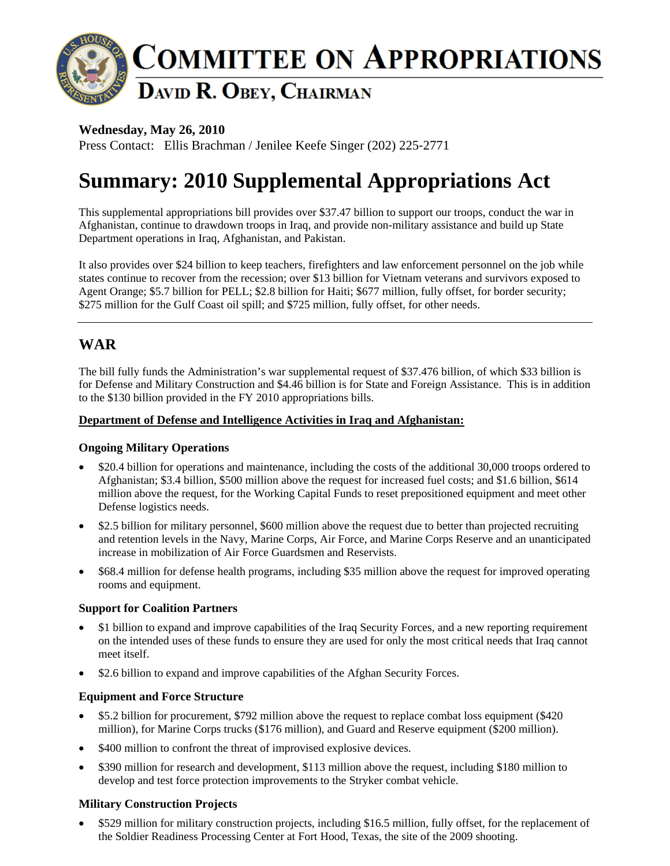

### **Wednesday, May 26, 2010**

Press Contact: Ellis Brachman / Jenilee Keefe Singer (202) 225‐2771

# **Summary: 2010 Supplemental Appropriations Act**

This supplemental appropriations bill provides over \$37.47 billion to support our troops, conduct the war in Afghanistan, continue to drawdown troops in Iraq, and provide non-military assistance and build up State Department operations in Iraq, Afghanistan, and Pakistan.

It also provides over \$24 billion to keep teachers, firefighters and law enforcement personnel on the job while states continue to recover from the recession; over \$13 billion for Vietnam veterans and survivors exposed to Agent Orange; \$5.7 billion for PELL; \$2.8 billion for Haiti; \$677 million, fully offset, for border security; \$275 million for the Gulf Coast oil spill; and \$725 million, fully offset, for other needs.

# **WAR**

The bill fully funds the Administration's war supplemental request of \$37.476 billion, of which \$33 billion is for Defense and Military Construction and \$4.46 billion is for State and Foreign Assistance. This is in addition to the \$130 billion provided in the FY 2010 appropriations bills.

#### **Department of Defense and Intelligence Activities in Iraq and Afghanistan:**

#### **Ongoing Military Operations**

- \$20.4 billion for operations and maintenance, including the costs of the additional 30,000 troops ordered to Afghanistan; \$3.4 billion, \$500 million above the request for increased fuel costs; and \$1.6 billion, \$614 million above the request, for the Working Capital Funds to reset prepositioned equipment and meet other Defense logistics needs.
- \$2.5 billion for military personnel, \$600 million above the request due to better than projected recruiting and retention levels in the Navy, Marine Corps, Air Force, and Marine Corps Reserve and an unanticipated increase in mobilization of Air Force Guardsmen and Reservists.
- \$68.4 million for defense health programs, including \$35 million above the request for improved operating rooms and equipment.

#### **Support for Coalition Partners**

- \$1 billion to expand and improve capabilities of the Iraq Security Forces, and a new reporting requirement on the intended uses of these funds to ensure they are used for only the most critical needs that Iraq cannot meet itself.
- \$2.6 billion to expand and improve capabilities of the Afghan Security Forces.

#### **Equipment and Force Structure**

- \$5.2 billion for procurement, \$792 million above the request to replace combat loss equipment (\$420) million), for Marine Corps trucks (\$176 million), and Guard and Reserve equipment (\$200 million).
- \$400 million to confront the threat of improvised explosive devices.
- \$390 million for research and development, \$113 million above the request, including \$180 million to develop and test force protection improvements to the Stryker combat vehicle.

#### **Military Construction Projects**

• \$529 million for military construction projects, including \$16.5 million, fully offset, for the replacement of the Soldier Readiness Processing Center at Fort Hood, Texas, the site of the 2009 shooting.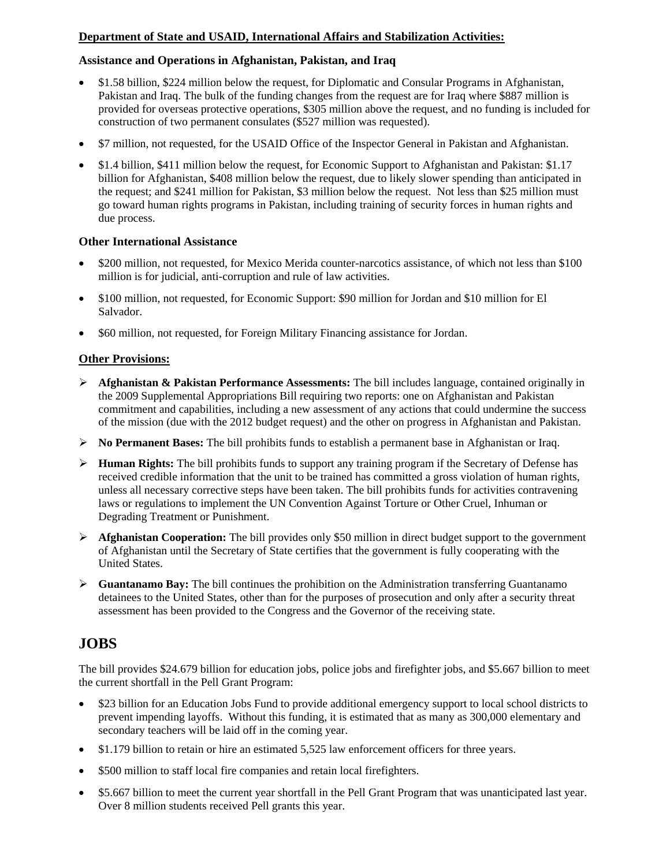#### **Department of State and USAID, International Affairs and Stabilization Activities:**

#### **Assistance and Operations in Afghanistan, Pakistan, and Iraq**

- \$1.58 billion, \$224 million below the request, for Diplomatic and Consular Programs in Afghanistan, Pakistan and Iraq. The bulk of the funding changes from the request are for Iraq where \$887 million is provided for overseas protective operations, \$305 million above the request, and no funding is included for construction of two permanent consulates (\$527 million was requested).
- \$7 million, not requested, for the USAID Office of the Inspector General in Pakistan and Afghanistan.
- \$1.4 billion, \$411 million below the request, for Economic Support to Afghanistan and Pakistan: \$1.17 billion for Afghanistan, \$408 million below the request, due to likely slower spending than anticipated in the request; and \$241 million for Pakistan, \$3 million below the request. Not less than \$25 million must go toward human rights programs in Pakistan, including training of security forces in human rights and due process.

#### **Other International Assistance**

- \$200 million, not requested, for Mexico Merida counter-narcotics assistance, of which not less than \$100 million is for judicial, anti-corruption and rule of law activities.
- \$100 million, not requested, for Economic Support: \$90 million for Jordan and \$10 million for El Salvador.
- \$60 million, not requested, for Foreign Military Financing assistance for Jordan.

#### **Other Provisions:**

- ¾ **Afghanistan & Pakistan Performance Assessments:** The bill includes language, contained originally in the 2009 Supplemental Appropriations Bill requiring two reports: one on Afghanistan and Pakistan commitment and capabilities, including a new assessment of any actions that could undermine the success of the mission (due with the 2012 budget request) and the other on progress in Afghanistan and Pakistan.
- ¾ **No Permanent Bases:** The bill prohibits funds to establish a permanent base in Afghanistan or Iraq.
- ¾ **Human Rights:** The bill prohibits funds to support any training program if the Secretary of Defense has received credible information that the unit to be trained has committed a gross violation of human rights, unless all necessary corrective steps have been taken. The bill prohibits funds for activities contravening laws or regulations to implement the UN Convention Against Torture or Other Cruel, Inhuman or Degrading Treatment or Punishment.
- ¾ **Afghanistan Cooperation:** The bill provides only \$50 million in direct budget support to the government of Afghanistan until the Secretary of State certifies that the government is fully cooperating with the United States.
- ¾ **Guantanamo Bay:** The bill continues the prohibition on the Administration transferring Guantanamo detainees to the United States, other than for the purposes of prosecution and only after a security threat assessment has been provided to the Congress and the Governor of the receiving state.

## **JOBS**

The bill provides \$24.679 billion for education jobs, police jobs and firefighter jobs, and \$5.667 billion to meet the current shortfall in the Pell Grant Program:

- \$23 billion for an Education Jobs Fund to provide additional emergency support to local school districts to prevent impending layoffs. Without this funding, it is estimated that as many as 300,000 elementary and secondary teachers will be laid off in the coming year.
- \$1.179 billion to retain or hire an estimated 5,525 law enforcement officers for three years.
- \$500 million to staff local fire companies and retain local firefighters.
- \$5.667 billion to meet the current year shortfall in the Pell Grant Program that was unanticipated last year. Over 8 million students received Pell grants this year.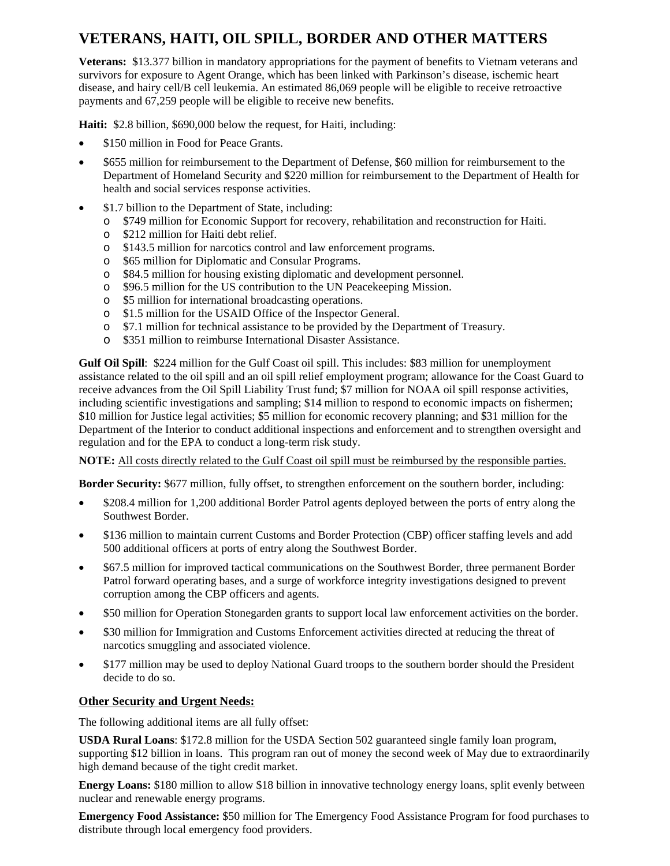# **VETERANS, HAITI, OIL SPILL, BORDER AND OTHER MATTERS**

**Veterans:** \$13.377 billion in mandatory appropriations for the payment of benefits to Vietnam veterans and survivors for exposure to Agent Orange, which has been linked with Parkinson's disease, ischemic heart disease, and hairy cell/B cell leukemia. An estimated 86,069 people will be eligible to receive retroactive payments and 67,259 people will be eligible to receive new benefits.

**Haiti:** \$2.8 billion, \$690,000 below the request, for Haiti, including:

- \$150 million in Food for Peace Grants.
- \$655 million for reimbursement to the Department of Defense, \$60 million for reimbursement to the Department of Homeland Security and \$220 million for reimbursement to the Department of Health for health and social services response activities.
- \$1.7 billion to the Department of State, including:
	- o \$749 million for Economic Support for recovery, rehabilitation and reconstruction for Haiti.
	- o \$212 million for Haiti debt relief.
	- o \$143.5 million for narcotics control and law enforcement programs.
	- o \$65 million for Diplomatic and Consular Programs.
	- o \$84.5 million for housing existing diplomatic and development personnel.
	- o \$96.5 million for the US contribution to the UN Peacekeeping Mission.
	- o \$5 million for international broadcasting operations.
	- o \$1.5 million for the USAID Office of the Inspector General.
	- o \$7.1 million for technical assistance to be provided by the Department of Treasury.
	- o \$351 million to reimburse International Disaster Assistance.

**Gulf Oil Spill**: \$224 million for the Gulf Coast oil spill. This includes: \$83 million for unemployment assistance related to the oil spill and an oil spill relief employment program; allowance for the Coast Guard to receive advances from the Oil Spill Liability Trust fund; \$7 million for NOAA oil spill response activities, including scientific investigations and sampling; \$14 million to respond to economic impacts on fishermen; \$10 million for Justice legal activities; \$5 million for economic recovery planning; and \$31 million for the Department of the Interior to conduct additional inspections and enforcement and to strengthen oversight and regulation and for the EPA to conduct a long-term risk study.

**NOTE:** All costs directly related to the Gulf Coast oil spill must be reimbursed by the responsible parties.

**Border Security:** \$677 million, fully offset, to strengthen enforcement on the southern border, including:

- \$208.4 million for 1,200 additional Border Patrol agents deployed between the ports of entry along the Southwest Border.
- \$136 million to maintain current Customs and Border Protection (CBP) officer staffing levels and add 500 additional officers at ports of entry along the Southwest Border.
- \$67.5 million for improved tactical communications on the Southwest Border, three permanent Border Patrol forward operating bases, and a surge of workforce integrity investigations designed to prevent corruption among the CBP officers and agents.
- \$50 million for Operation Stonegarden grants to support local law enforcement activities on the border.
- \$30 million for Immigration and Customs Enforcement activities directed at reducing the threat of narcotics smuggling and associated violence.
- \$177 million may be used to deploy National Guard troops to the southern border should the President decide to do so.

#### **Other Security and Urgent Needs:**

The following additional items are all fully offset:

**USDA Rural Loans**: \$172.8 million for the USDA Section 502 guaranteed single family loan program, supporting \$12 billion in loans. This program ran out of money the second week of May due to extraordinarily high demand because of the tight credit market.

**Energy Loans:** \$180 million to allow \$18 billion in innovative technology energy loans, split evenly between nuclear and renewable energy programs.

**Emergency Food Assistance:** \$50 million for The Emergency Food Assistance Program for food purchases to distribute through local emergency food providers.